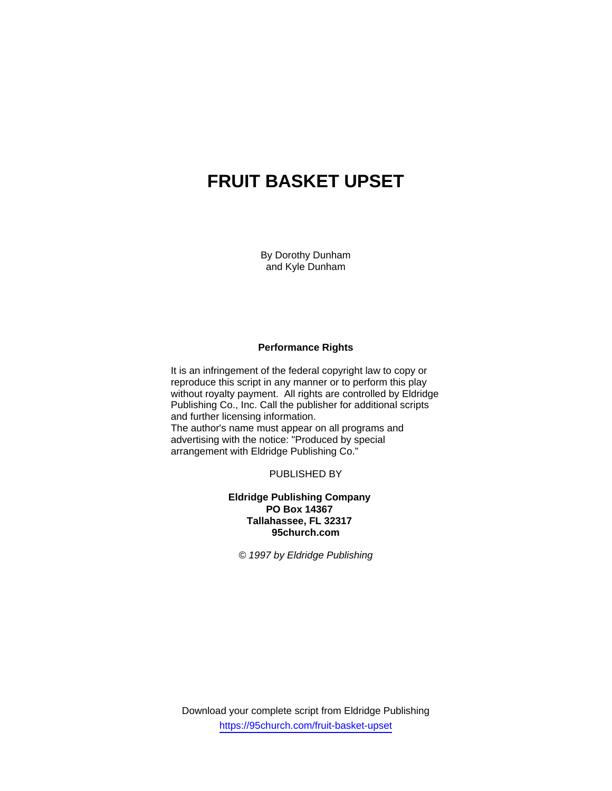# **FRUIT BASKET UPSET**

By Dorothy Dunham and Kyle Dunham

## **Performance Rights**

It is an infringement of the federal copyright law to copy or reproduce this script in any manner or to perform this play without royalty payment. All rights are controlled by Eldridge Publishing Co., Inc. Call the publisher for additional scripts and further licensing information. The author's name must appear on all programs and advertising with the notice: "Produced by special arrangement with Eldridge Publishing Co."

PUBLISHED BY

**Eldridge Publishing Company PO Box 14367 Tallahassee, FL 32317 95church.com** 

*© 1997 by Eldridge Publishing* 

Download your complete script from Eldridge Publishing https://95church.com/fruit-basket-upset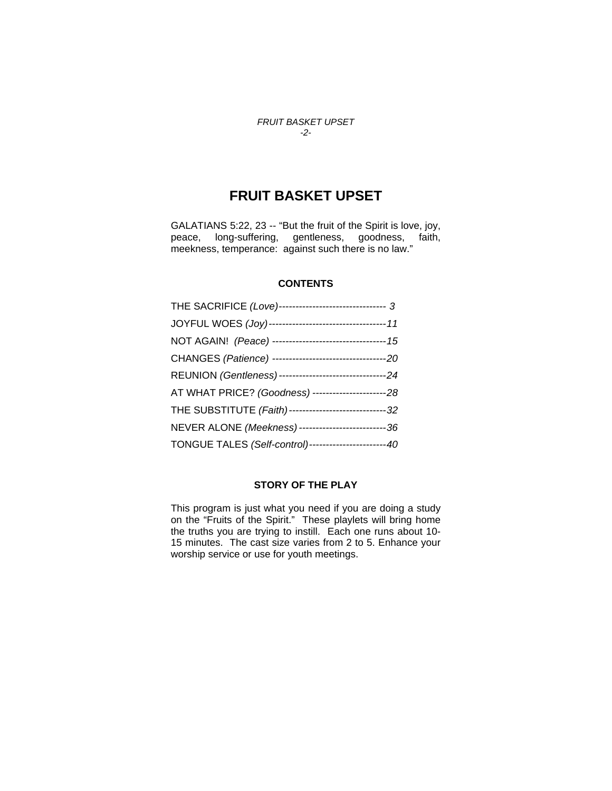## *FRUIT BASKET UPSET -2-*

## **FRUIT BASKET UPSET**

GALATIANS 5:22, 23 -- "But the fruit of the Spirit is love, joy, peace, long-suffering, gentleness, goodness, faith, meekness, temperance: against such there is no law."

## **CONTENTS**

| THE SACRIFICE (Love)-------------------------------- 3   |
|----------------------------------------------------------|
|                                                          |
| NOT AGAIN! (Peace) ---------------------------------- 15 |
|                                                          |
|                                                          |
| AT WHAT PRICE? (Goodness) -----------------------28      |
| THE SUBSTITUTE (Faith)------------------------------32   |
| NEVER ALONE (Meekness)---------------------------36      |
| TONGUE TALES (Self-control)----------------------40      |

## **STORY OF THE PLAY**

This program is just what you need if you are doing a study on the "Fruits of the Spirit." These playlets will bring home the truths you are trying to instill. Each one runs about 10- 15 minutes. The cast size varies from 2 to 5. Enhance your worship service or use for youth meetings.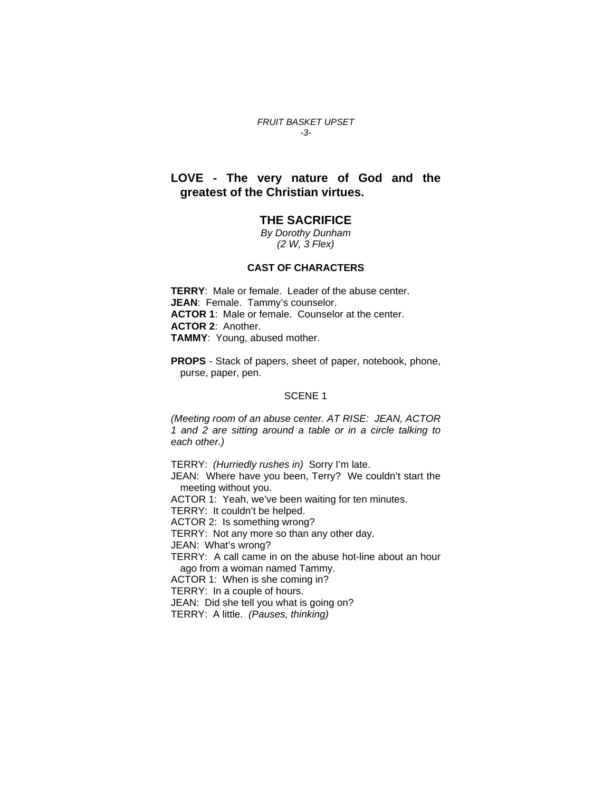#### *FRUIT BASKET UPSET -3-*

## **LOVE - The very nature of God and the greatest of the Christian virtues.**

## **THE SACRIFICE**

*By Dorothy Dunham (2 W, 3 Flex)* 

#### **CAST OF CHARACTERS**

**TERRY**: Male or female. Leader of the abuse center. **JEAN**: Female. Tammy's counselor. **ACTOR 1**:Male or female. Counselor at the center. **ACTOR 2**: Another. **TAMMY**: Young, abused mother.

**PROPS** - Stack of papers, sheet of paper, notebook, phone, purse, paper, pen.

## SCENE 1

*(Meeting room of an abuse center. AT RISE: JEAN, ACTOR 1 and 2 are sitting around a table or in a circle talking to each other.)* 

TERRY: *(Hurriedly rushes in)* Sorry I'm late.

JEAN: Where have you been, Terry? We couldn't start the meeting without you.

ACTOR 1: Yeah, we've been waiting for ten minutes.

TERRY: It couldn't be helped.

ACTOR 2: Is something wrong?

TERRY: Not any more so than any other day.

JEAN: What's wrong?

TERRY: A call came in on the abuse hot-line about an hour ago from a woman named Tammy.

ACTOR 1: When is she coming in?

TERRY: In a couple of hours.

JEAN: Did she tell you what is going on?

TERRY: A little. *(Pauses, thinking)*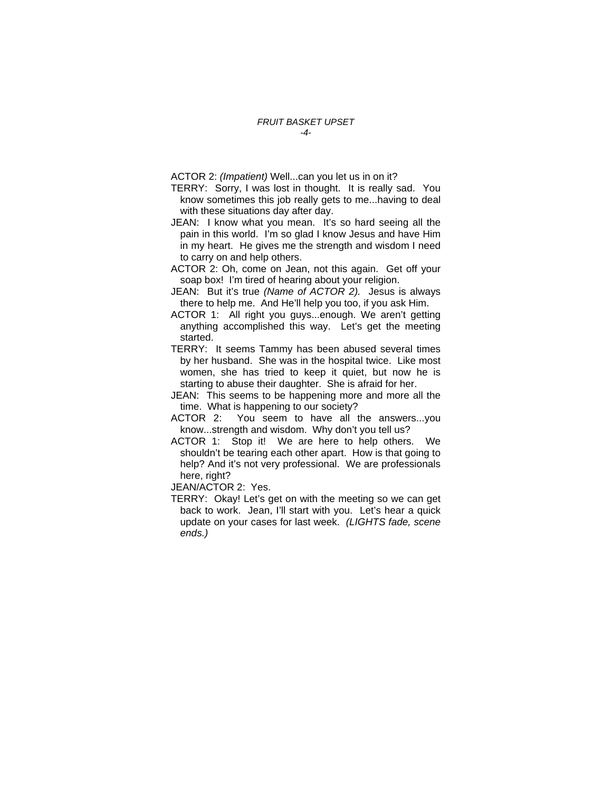ACTOR 2: *(Impatient)* Well...can you let us in on it?

- TERRY: Sorry, I was lost in thought. It is really sad. You know sometimes this job really gets to me...having to deal with these situations day after day.
- JEAN: I know what you mean. It's so hard seeing all the pain in this world. I'm so glad I know Jesus and have Him in my heart. He gives me the strength and wisdom I need to carry on and help others.
- ACTOR 2: Oh, come on Jean, not this again. Get off your soap box! I'm tired of hearing about your religion.
- JEAN: But it's true *(Name of ACTOR 2).* Jesus is always there to help me. And He'll help you too, if you ask Him.
- ACTOR 1: All right you guys...enough. We aren't getting anything accomplished this way. Let's get the meeting started.
- TERRY: It seems Tammy has been abused several times by her husband. She was in the hospital twice. Like most women, she has tried to keep it quiet, but now he is starting to abuse their daughter. She is afraid for her.
- JEAN: This seems to be happening more and more all the time. What is happening to our society?
- ACTOR 2: You seem to have all the answers...you know...strength and wisdom. Why don't you tell us?
- ACTOR 1: Stop it! We are here to help others. We shouldn't be tearing each other apart. How is that going to help? And it's not very professional. We are professionals here, right?
- JEAN/ACTOR 2: Yes.
- TERRY: Okay! Let's get on with the meeting so we can get back to work. Jean, I'll start with you. Let's hear a quick update on your cases for last week. *(LIGHTS fade, scene ends.)*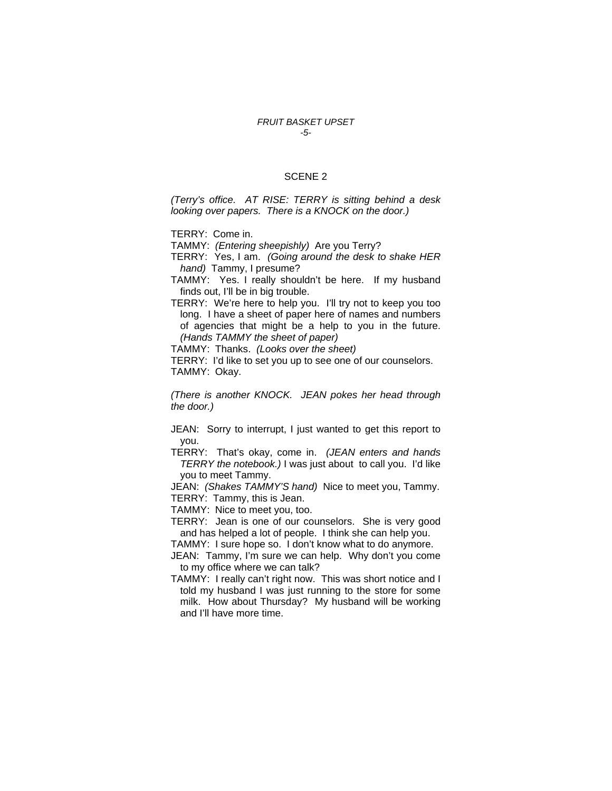#### *FRUIT BASKET UPSET -5-*

#### SCENE 2

*(Terry's office. AT RISE: TERRY is sitting behind a desk looking over papers. There is a KNOCK on the door.)* 

TERRY: Come in.

TAMMY: *(Entering sheepishly)* Are you Terry?

TERRY: Yes, I am. *(Going around the desk to shake HER hand)* Tammy, I presume?

TAMMY: Yes. I really shouldn't be here. If my husband finds out, I'll be in big trouble.

TERRY: We're here to help you. I'll try not to keep you too long. I have a sheet of paper here of names and numbers of agencies that might be a help to you in the future. *(Hands TAMMY the sheet of paper)* 

TAMMY: Thanks. *(Looks over the sheet)* 

TERRY: I'd like to set you up to see one of our counselors. TAMMY: Okay.

*(There is another KNOCK. JEAN pokes her head through the door.)* 

JEAN: Sorry to interrupt, I just wanted to get this report to you.

TERRY: That's okay, come in. *(JEAN enters and hands TERRY the notebook.)* I was just about to call you. I'd like you to meet Tammy.

JEAN: *(Shakes TAMMY'S hand)* Nice to meet you, Tammy. TERRY: Tammy, this is Jean.

TAMMY: Nice to meet you, too.

TERRY: Jean is one of our counselors. She is very good and has helped a lot of people. I think she can help you.

TAMMY: I sure hope so. I don't know what to do anymore.

JEAN: Tammy, I'm sure we can help. Why don't you come to my office where we can talk?

TAMMY: I really can't right now. This was short notice and I told my husband I was just running to the store for some milk. How about Thursday? My husband will be working and I'll have more time.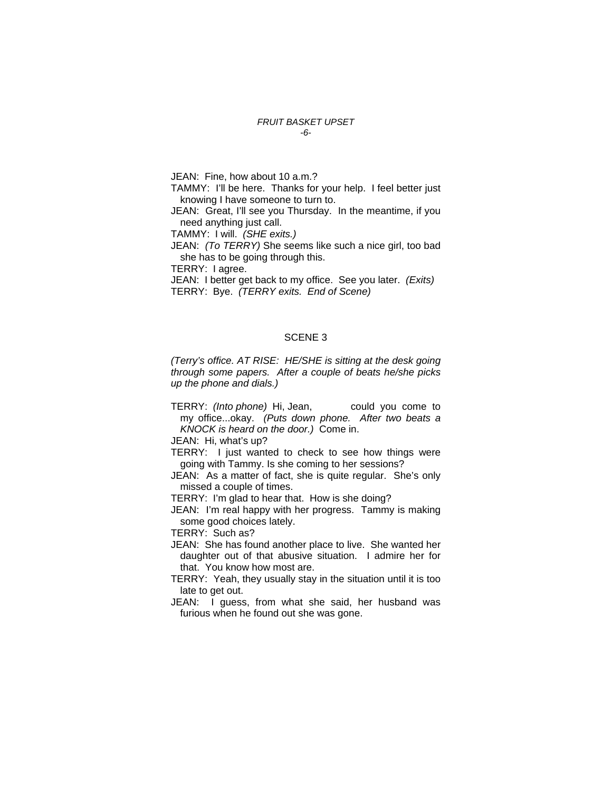#### *FRUIT BASKET UPSET -6-*

JEAN: Fine, how about 10 a.m.?

TAMMY: I'll be here. Thanks for your help. I feel better just knowing I have someone to turn to.

JEAN: Great, I'll see you Thursday. In the meantime, if you need anything just call.

TAMMY: I will. *(SHE exits.)* 

JEAN: *(To TERRY)* She seems like such a nice girl, too bad she has to be going through this.

TERRY: I agree.

JEAN: I better get back to my office. See you later. *(Exits)*  TERRY: Bye. *(TERRY exits. End of Scene)* 

## SCENE 3

*(Terry's office. AT RISE: HE/SHE is sitting at the desk going through some papers. After a couple of beats he/she picks up the phone and dials.)* 

TERRY: *(Into phone)* Hi, Jean, could you come to my office...okay. *(Puts down phone. After two beats a KNOCK is heard on the door.)* Come in.

JEAN: Hi, what's up?

- TERRY: I just wanted to check to see how things were going with Tammy. Is she coming to her sessions?
- JEAN: As a matter of fact, she is quite regular. She's only missed a couple of times.

TERRY: I'm glad to hear that. How is she doing?

JEAN: I'm real happy with her progress. Tammy is making some good choices lately.

TERRY: Such as?

- JEAN: She has found another place to live. She wanted her daughter out of that abusive situation. I admire her for that. You know how most are.
- TERRY: Yeah, they usually stay in the situation until it is too late to get out.
- JEAN: I guess, from what she said, her husband was furious when he found out she was gone.